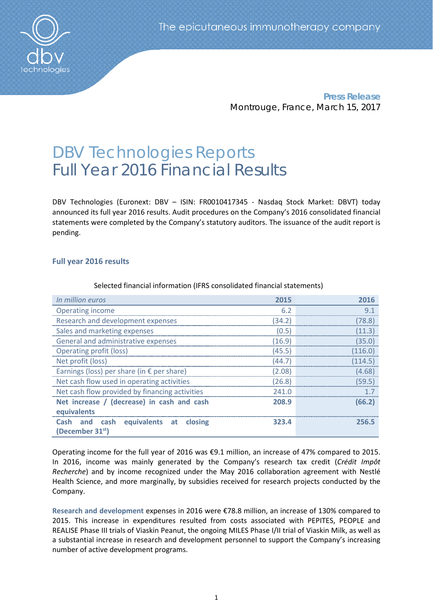

**Press Release** Montrouge, France, March 15, 2017

# DBV Technologies Reports Full Year 2016 Financial Results

DBV Technologies (Euronext: DBV – ISIN: FR0010417345 - Nasdaq Stock Market: DBVT) today announced its full year 2016 results. Audit procedures on the Company's 2016 consolidated financial statements were completed by the Company's statutory auditors. The issuance of the audit report is pending.

# **Full year 2016 results**

| In million euros                                                     | 2015   | 2016    |
|----------------------------------------------------------------------|--------|---------|
| <b>Operating income</b>                                              | 6.2    | 9.1     |
| Research and development expenses                                    | (34.2) | (78.8)  |
| Sales and marketing expenses                                         | (0.5)  | (11.3)  |
| General and administrative expenses                                  | (16.9) | (35.0)  |
| <b>Operating profit (loss)</b>                                       | (45.5) | (116.0) |
| Net profit (loss)                                                    | (44.7) | (114.5) |
| Earnings (loss) per share (in € per share)                           | (2.08) | (4.68)  |
| Net cash flow used in operating activities                           | (26.8) | (59.5)  |
| Net cash flow provided by financing activities                       | 241.0  | 1.7     |
| Net increase / (decrease) in cash and cash                           | 208.9  | (66.2)  |
| equivalents                                                          |        |         |
| Cash and cash equivalents at closing<br>(December 31 <sup>st</sup> ) | 323.4  | 256.5   |

Selected financial information (IFRS consolidated financial statements)

Operating income for the full year of 2016 was €9.1 million, an increase of 47% compared to 2015. In 2016, income was mainly generated by the Company's research tax credit (*Crédit Impôt Recherche*) and by income recognized under the May 2016 collaboration agreement with Nestlé Health Science, and more marginally, by subsidies received for research projects conducted by the Company.

**Research and development** expenses in 2016 were €78.8 million, an increase of 130% compared to 2015. This increase in expenditures resulted from costs associated with PEPITES, PEOPLE and REALISE Phase III trials of Viaskin Peanut, the ongoing MILES Phase I/II trial of Viaskin Milk, as well as a substantial increase in research and development personnel to support the Company's increasing number of active development programs.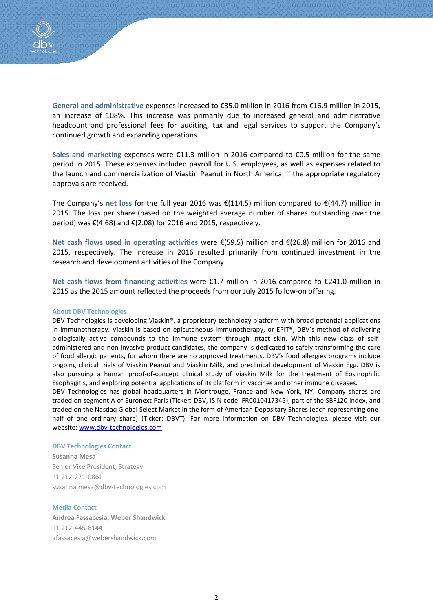

**General and administrative** expenses increased to €35.0 million in 2016 from €16.9 million in 2015, an increase of 108%. This increase was primarily due to increased general and administrative headcount and professional fees for auditing, tax and legal services to support the Company's continued growth and expanding operations.

**Sales and marketing** expenses were €11.3 million in 2016 compared to €0.5 million for the same period in 2015. These expenses included payroll for U.S. employees, as well as expenses related to the launch and commercialization of Viaskin Peanut in North America, if the appropriate regulatory approvals are received.

The Company's **net loss** for the full year 2016 was €(114.5) million compared to €(44.7) million in 2015. The loss per share (based on the weighted average number of shares outstanding over the period) was €(4.68) and €(2.08) for 2016 and 2015, respectively.

**Net cash flows used in operating activities** were €(59.5) million and €(26.8) million for 2016 and 2015, respectively. The increase in 2016 resulted primarily from continued investment in the research and development activities of the Company.

**Net cash flows from financing activities** were €1.7 million in 2016 compared to €241.0 million in 2015 as the 2015 amount reflected the proceeds from our July 2015 follow-on offering.

### **About DBV Technologies**

DBV Technologies is developing Viaskin®, a proprietary technology platform with broad potential applications in immunotherapy. Viaskin is based on epicutaneous immunotherapy, or EPIT®, DBV's method of delivering biologically active compounds to the immune system through intact skin. With this new class of selfadministered and non-invasive product candidates, the company is dedicated to safely transforming the care of food allergic patients, for whom there are no approved treatments. DBV's food allergies programs include ongoing clinical trials of Viaskin Peanut and Viaskin Milk, and preclinical development of Viaskin Egg. DBV is also pursuing a human proof-of-concept clinical study of Viaskin Milk for the treatment of Eosinophilic Esophagitis, and exploring potential applications of its platform in vaccines and other immune diseases.

DBV Technologies has global headquarters in Montrouge, France and New York, NY. Company shares are traded on segment A of Euronext Paris (Ticker: DBV, ISIN code: FR0010417345), part of the SBF120 index, and traded on the Nasdaq Global Select Market in the form of American Depositary Shares (each representing onehalf of one ordinary share) (Ticker: DBVT). For more information on DBV Technologies, please visit our website: [www.dbv-technologies.com](http://www.dbv-technologies.com/)

#### **DBV Technologies Contact**

**Susanna Mesa** Senior Vice President, Strategy +1 212-271-0861 [susanna.mesa@dbv-technologies.com](mailto:susanna.mesa@dbv-technologies.com)

## **Media Contact**

**Andrea Fassacesia, Weber Shandwick** +1 212-445-8144 [afassacesia@webershandwick.com](mailto:afassacesia@webershandwick.com)